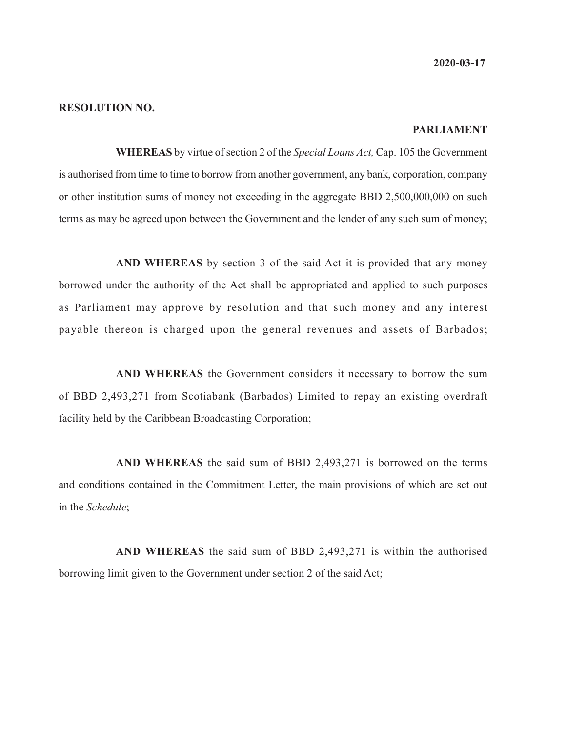**2020-03-17**

#### **RESOLUTION NO.**

#### **PARLIAMENT**

**WHEREAS** by virtue of section 2 of the *Special Loans Act,* Cap. 105 the Government is authorised from time to time to borrow from another government, any bank, corporation, company or other institution sums of money not exceeding in the aggregate BBD 2,500,000,000 on such terms as may be agreed upon between the Government and the lender of any such sum of money;

**AND WHEREAS** by section 3 of the said Act it is provided that any money borrowed under the authority of the Act shall be appropriated and applied to such purposes as Parliament may approve by resolution and that such money and any interest payable thereon is charged upon the general revenues and assets of Barbados;

**AND WHEREAS** the Government considers it necessary to borrow the sum of BBD 2,493,271 from Scotiabank (Barbados) Limited to repay an existing overdraft facility held by the Caribbean Broadcasting Corporation;

**AND WHEREAS** the said sum of BBD 2,493,271 is borrowed on the terms and conditions contained in the Commitment Letter, the main provisions of which are set out in the *Schedule*;

**AND WHEREAS** the said sum of BBD 2,493,271 is within the authorised borrowing limit given to the Government under section 2 of the said Act;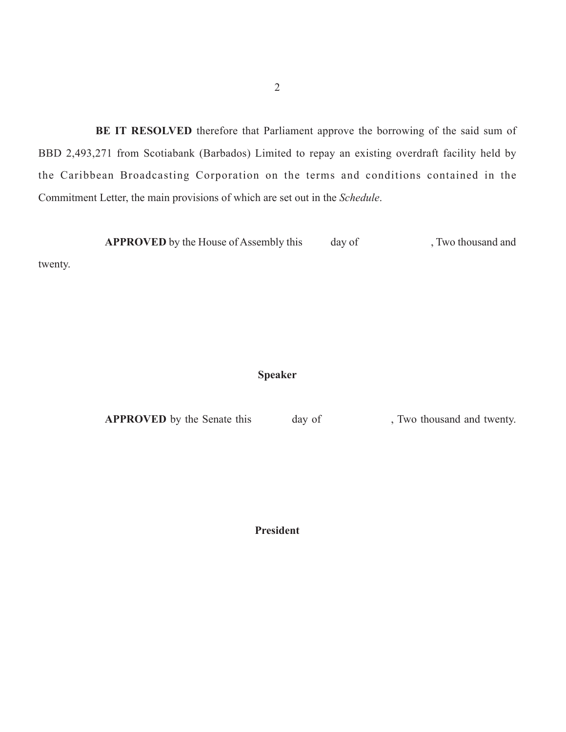**BE IT RESOLVED** therefore that Parliament approve the borrowing of the said sum of BBD 2,493,271 from Scotiabank (Barbados) Limited to repay an existing overdraft facility held by the Caribbean Broadcasting Corporation on the terms and conditions contained in the Commitment Letter, the main provisions of which are set out in the *Schedule*.

**APPROVED** by the House of Assembly this day of , Two thousand and

twenty.

## **Speaker**

**APPROVED** by the Senate this day of , Two thousand and twenty.

**President**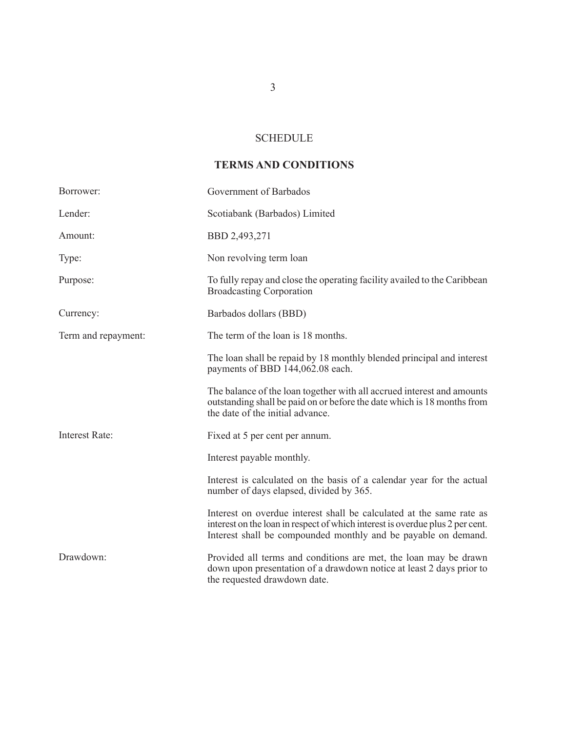### SCHEDULE

# **TERMS AND CONDITIONS**

| Borrower:             | Government of Barbados                                                                                                                                                                                                  |  |
|-----------------------|-------------------------------------------------------------------------------------------------------------------------------------------------------------------------------------------------------------------------|--|
| Lender:               | Scotiabank (Barbados) Limited                                                                                                                                                                                           |  |
| Amount:               | BBD 2,493,271                                                                                                                                                                                                           |  |
| Type:                 | Non revolving term loan                                                                                                                                                                                                 |  |
| Purpose:              | To fully repay and close the operating facility availed to the Caribbean<br><b>Broadcasting Corporation</b>                                                                                                             |  |
| Currency:             | Barbados dollars (BBD)                                                                                                                                                                                                  |  |
| Term and repayment:   | The term of the loan is 18 months.                                                                                                                                                                                      |  |
|                       | The loan shall be repaid by 18 monthly blended principal and interest<br>payments of BBD 144,062.08 each.                                                                                                               |  |
|                       | The balance of the loan together with all accrued interest and amounts<br>outstanding shall be paid on or before the date which is 18 months from<br>the date of the initial advance.                                   |  |
| <b>Interest Rate:</b> | Fixed at 5 per cent per annum.                                                                                                                                                                                          |  |
|                       | Interest payable monthly.                                                                                                                                                                                               |  |
|                       | Interest is calculated on the basis of a calendar year for the actual<br>number of days elapsed, divided by 365.                                                                                                        |  |
|                       | Interest on overdue interest shall be calculated at the same rate as<br>interest on the loan in respect of which interest is overdue plus 2 per cent.<br>Interest shall be compounded monthly and be payable on demand. |  |
| Drawdown:             | Provided all terms and conditions are met, the loan may be drawn<br>down upon presentation of a drawdown notice at least 2 days prior to<br>the requested drawdown date.                                                |  |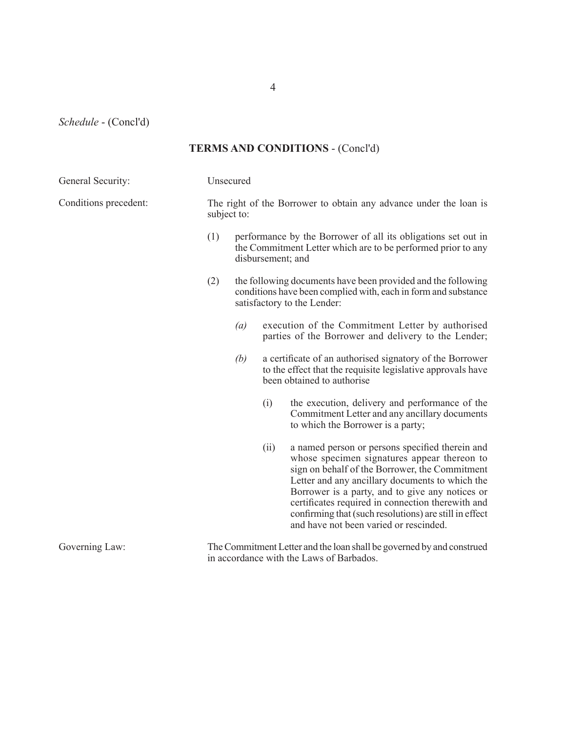4

*Schedule* - (Concl'd)

## **TERMS AND CONDITIONS** - (Concl'd)

| General Security:     |     | Unsecured                                                                                                                                                     |                                                                                                                                                                                                                                                                                                                                                                                                                 |  |  |
|-----------------------|-----|---------------------------------------------------------------------------------------------------------------------------------------------------------------|-----------------------------------------------------------------------------------------------------------------------------------------------------------------------------------------------------------------------------------------------------------------------------------------------------------------------------------------------------------------------------------------------------------------|--|--|
| Conditions precedent: |     | The right of the Borrower to obtain any advance under the loan is<br>subject to:                                                                              |                                                                                                                                                                                                                                                                                                                                                                                                                 |  |  |
|                       | (1) | performance by the Borrower of all its obligations set out in<br>the Commitment Letter which are to be performed prior to any<br>disbursement; and            |                                                                                                                                                                                                                                                                                                                                                                                                                 |  |  |
|                       | (2) | the following documents have been provided and the following<br>conditions have been complied with, each in form and substance<br>satisfactory to the Lender: |                                                                                                                                                                                                                                                                                                                                                                                                                 |  |  |
|                       |     | (a)                                                                                                                                                           | execution of the Commitment Letter by authorised<br>parties of the Borrower and delivery to the Lender;                                                                                                                                                                                                                                                                                                         |  |  |
|                       |     | (b)                                                                                                                                                           | a certificate of an authorised signatory of the Borrower<br>to the effect that the requisite legislative approvals have<br>been obtained to authorise                                                                                                                                                                                                                                                           |  |  |
|                       |     | (i)                                                                                                                                                           | the execution, delivery and performance of the<br>Commitment Letter and any ancillary documents<br>to which the Borrower is a party;                                                                                                                                                                                                                                                                            |  |  |
|                       |     | (ii)                                                                                                                                                          | a named person or persons specified therein and<br>whose specimen signatures appear thereon to<br>sign on behalf of the Borrower, the Commitment<br>Letter and any ancillary documents to which the<br>Borrower is a party, and to give any notices or<br>certificates required in connection therewith and<br>confirming that (such resolutions) are still in effect<br>and have not been varied or rescinded. |  |  |
| Governing Law:        |     | The Commitment Letter and the loan shall be governed by and construed                                                                                         |                                                                                                                                                                                                                                                                                                                                                                                                                 |  |  |

in accordance with the Laws of Barbados.